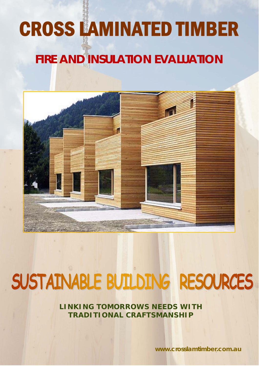# CROSS LAMINATED TIMBER

# **FIRE AND INSULATION EVALUATION**



# SUSTAINABLE BUILDING RESOURCES

**LINKING TOMORROWS NEEDS WITH TRADITIONAL CRAFTSMANSHIP** 

**www.crosslamtimber.com.au**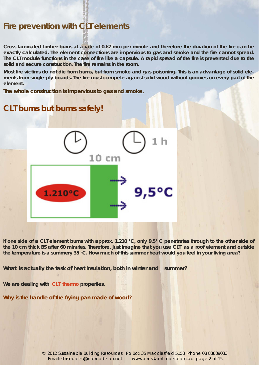# **Fire prevention with CLT elements**

**Cross laminated timber burns at a rate of 0.67 mm per minute and therefore the duration of the fire can be exactly calculated. The element connections are impervious to gas and smoke and the fire cannot spread. The CLT module functions in the case of fire like a capsule. A rapid spread of the fire is prevented due to the solid and secure construction. The fire remains in the room.** 

**Most fire victims do not die from burns, but from smoke and gas poisoning. This is an advantage of solid elements from single-ply boards. The fire must compete against solid wood without grooves on every part of the element.** 

**The whole construction is impervious to gas and smoke.** 

# **CLT burns but burns safely!**



**If one side of a CLT element burns with approx. 1.210 °C, only 9.5° C penetrates through to the other side of the 10 cm thick BS after 60 minutes. Therefore, just imagine that you use CLT as a roof element and outside the temperature is a summery 35 °C. How much of this summer heat would you feel in your living area?** 

What is actually the task of heat insulation, both in winter and summer?

**We are dealing with CLT thermo properties.** 

**Why is the handle of the frying pan made of wood?** 

Email: sbrsources@internode.on.net www.crosslamtimber.com.au *page 2 of 15* © 2012 Sustainable Building Resources Po Box 35 Macclesfield 5153 Phone 08 83889033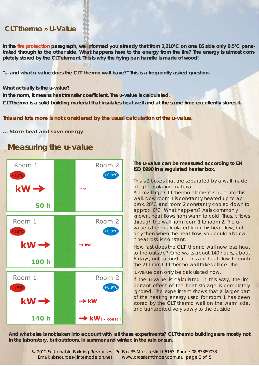# **CLT thermo » U-Value**

**In the fire protection paragraph, we informed you already that from 1,210°C on one BS side only 9.5°C penetrated through to the other side. What happens here to the energy from the fire? The energy is almost completely stored by the CLT element. This is why the frying pan handle is made of wood!** 

"... and what u-value does the CLT thermo wall have?" This is a frequently asked question.

#### **What actually is the u-value?**

**In the norm, it means heat transfer coefficient. The u-value is calculated. CLT thermo is a solid building material that insulates heat well and at the same time excellently stores it.** 

### *This and lots more is not considered by the usual calculation of the u-value.*

#### **... Store heat and save energy**



# **Measuring the u-value**

#### **The u-value can be measured according to EN ISO 8990 in a regulated heater box.**

This is 2 boxes that are separated by a wall made of light insulating material.

A 1 m2 large CLT thermo element is built into this wall. Now room 1 is constantly heated up to approx. 20°C and room 2 constantly cooled down to approx. 0°C. What happens? As is commonly known, heat flows from warm to cold. Thus, it flows through the wall from room 1 to room 2. The uvalue is then calculated from this heat flow, but only then when the heat flow, you could also call it heat loss, is constant.

How fast does the CLT thermo wall now lose heat to the outside? One waits about 140 hours, about 6 days, until almost a constant heat flow through the 211 mm CLT thermo wall takes place. The

u-value can only be calculated now.

If the u-value is calculated in this way, the important effect of the heat storage is completely ignored. The experiment shows that a larger part of the heating energy used for room 1 has been stored by the CLT thermo wall on the warm side, and transported very slowly to the outside.

**And what else is not taken into account with all these experiments? CLT thermo buildings are mostly not in the laboratory, but outdoors, in summer and winter, in the rain or sun.** 

Email: sbrsources@internode.on.net www.crosslamtimber.com.au *page 3 of 5* © 2012 Sustainable Building Resources Po Box 35 Macclesfield 5153 Phone 08 83889033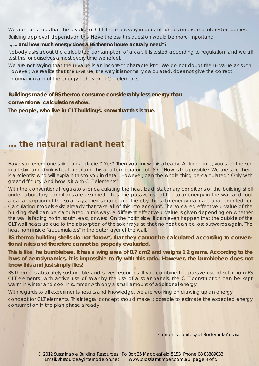We are conscious that the u-value of CLT thermo is very important for customers and interested parties. Building approval depends on this. Nevertheless, this question would be more important:

#### **" ... and how much energy does a BS thermo house actually need"?**

Nobody asks about the calculated consumption of a car. It is tested according to regulation and we all test this for ourselves almost every time we refuel.

We are not saying that the u-value is an incorrect characteristic. We do not doubt the u-value as such. However, we realize that the u-value, the way it is normally calculated, does not give the correct information about the energy behavior of CLT elements.

*Buildings made of BS thermo consume considerably less energy than conventional calculations show.* 

*The people, who live in CLT buildings, know that this is true.* 

# **... the natural radiant heat**

Have you ever gone skiing on a glacier? Yes? Then you know this already! At lunchtime, you sit in the sun in a t-shirt and drink wheat beer and this at a temperature of -8°C. How is this possible? We are sure there is a scientist who will explain this to you in detail. However, can the whole thing be calculated? Only with great difficulty. And how is it with CLT elements?

With the conventional regulators for calculating the heat load, stationary conditions of the building shell under laboratory conditions are assumed. Thus, the passive use of the solar energy in the wall and roof area, absorption of the solar rays, their storage and thereby the solar energy gain are unaccounted for. Calculating models exist already that take all of this into account. The so-called effective u-value of the building shell can be calculated in this way. A different effective u-value is given depending on whether the wall is facing north, south, east, or west. On the north side, it can even happen that the outside of the CLT wall heats up due to the absorption of the solar rays, so that no heat can be lost outwards again. The heat from inside "accumulates" in the outer layer of the wall.

**BS thermo building shells do not "know", that they cannot be calculated according to conventional rules and therefore cannot be properly evaluated.** 

*This is like he bumblebee. It has a wing area of 0.7 cm2 and weighs 1.2 grams. According to the*  laws of aerodynamics, it is impossible to fly with this ratio. However, the bumblebee does not *know this and just simply flies!* 

BS thermo is absolutely sustainable and saves resources. If you combine the passive use of solar from BS CLT elements with active use of solar by the use of a solar panels, the CLT construction can be kept warm in winter and cool in summer with only a small amount of additional energy.

With regards to all experiments, results and knowledge, we are working on drawing up an energy

concept for CLT elements. This integral concept should make it possible to estimate the expected energy consumption in the plan phase already.

Contents courtesy of Binderholz Austria